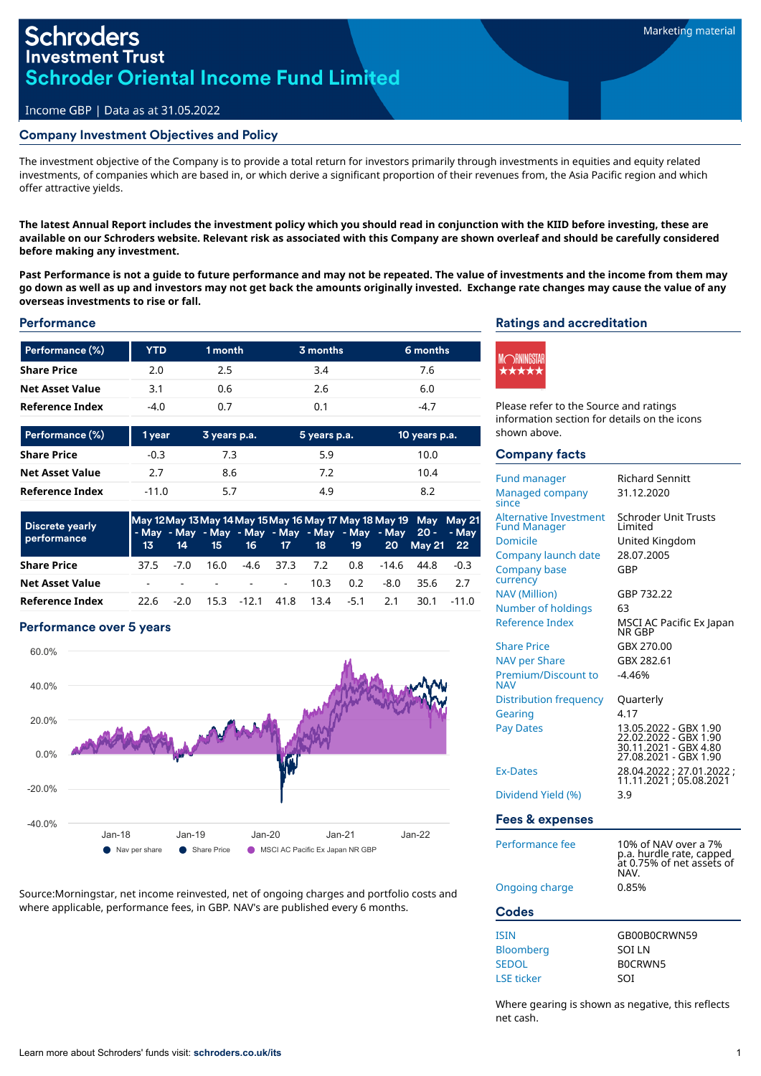## Income GBP | Data as at 31.05.2022

### Company Investment Objectives and Policy

The investment objective of the Company is to provide a total return for investors primarily through investments in equities and equity related investments, of companies which are based in, or which derive a significant proportion of their revenues from, the Asia Pacific region and which offer attractive yields.

The latest Annual Report includes the investment policy which you should read in conjunction with the KIID before investing, these are available on our Schroders website. Relevant risk as associated with this Company are shown overleaf and should be carefully considered **before making any investment.**

Past Performance is not a guide to future performance and may not be repeated. The value of investments and the income from them may go down as well as up and investors may not get back the amounts originally invested. Exchange rate changes may cause the value of any **overseas investments to rise or fall.**

#### **Performance**

| Performance (%)        | <b>YTD</b> | 1 month | 3 months | 6 months |
|------------------------|------------|---------|----------|----------|
| <b>Share Price</b>     | 2.0        | 2.5     | 3.4      | 7.6      |
| <b>Net Asset Value</b> | 3.1        | 0.6     | 2.6      | 6.0      |
| Reference Index        | $-4.0$     | 0.7     | 0.1      | -4.7     |

| Performance (%)        | 1 year  | 3 years p.a. | 5 years p.a. | 10 years p.a. |
|------------------------|---------|--------------|--------------|---------------|
| <b>Share Price</b>     | $-0.3$  | 7.3          | 5.9          | 10.0          |
| <b>Net Asset Value</b> | 2.7     | 8.6          | 7.2          | 10.4          |
| Reference Index        | $-11.0$ | 5.7          | 4.9          | 8.2           |

| <b>Discrete yearly</b> | May 12 May 13 May 14 May 15 May 16 May 17 May 18 May 19 May May 21<br>- May - May - May - May - May - May - May - May 20 - - May |              |  |  |                    |  |                           |      |                                   |         |
|------------------------|----------------------------------------------------------------------------------------------------------------------------------|--------------|--|--|--------------------|--|---------------------------|------|-----------------------------------|---------|
| performance            |                                                                                                                                  |              |  |  |                    |  |                           |      | 13 14 15 16 17 18 19 20 May 21 22 |         |
| <b>Share Price</b>     |                                                                                                                                  | $37.5 - 7.0$ |  |  | 16.0 -4.6 37.3 7.2 |  |                           |      | 0.8 -14.6 44.8                    | $-0.3$  |
| <b>Net Asset Value</b> |                                                                                                                                  |              |  |  | $     10.3$        |  | 0.2                       | -8.0 | 35.6                              | -2.7    |
| <b>Reference Index</b> | 22 h                                                                                                                             | $-2.0$       |  |  |                    |  | 15.3 -12.1 41.8 13.4 -5.1 | 2.1  | 30.1                              | $-11.0$ |

#### Performance over 5 years



Source:Morningstar, net income reinvested, net of ongoing charges and portfolio costs and where applicable, performance fees, in GBP. NAV's are published every 6 months.

## Ratings and accreditation



Please refer to the Source and ratings information section for details on the icons shown above.

#### Company facts

| <b>Fund manager</b><br>Managed company<br>since                                                                                                  | <b>Richard Sennitt</b><br>31.12.2020                                                                                                                                                 |
|--------------------------------------------------------------------------------------------------------------------------------------------------|--------------------------------------------------------------------------------------------------------------------------------------------------------------------------------------|
| <b>Alternative Investment</b><br><b>Fund Manager</b><br>Domicile<br>Company launch date<br><b>Company base</b><br>currency                       | Schroder Unit Trusts<br>I imited<br>United Kingdom<br>28.07.2005<br>GBP                                                                                                              |
| <b>NAV (Million)</b><br>Number of holdings<br>Reference Index<br><b>Share Price</b><br><b>NAV per Share</b><br>Premium/Discount to<br><b>NAV</b> | GBP 732.22<br>63<br>MSCI AC Pacific Ex Japan<br>NR GBP<br>GBX 270.00<br>GBX 282.61<br>$-4.46%$                                                                                       |
| Distribution frequency<br>Gearing<br><b>Pay Dates</b><br><b>Ex-Dates</b><br>Dividend Yield (%)<br><b>Fees &amp; expenses</b>                     | Quarterly<br>4.17<br>13.05.2022 - GBX 1.90<br>22.02.2022 - GBX 1.90<br>30.11.2021 - GBX 4.80<br>27.08.2021 - GBX 1.90<br>28.04.2022 ; 27.01.2022 ;<br>11.11.2021 ; 05.08.2021<br>3.9 |
| Performance fee                                                                                                                                  | 10% of NAV over a 7%<br>n a hurdle rate canned                                                                                                                                       |

Ongoing charge

| NAV.  | p.a. hurdle rate, capped<br>at 0.75% of net assets of |
|-------|-------------------------------------------------------|
| 0.85% |                                                       |

## **Codes**

| <b>ISIN</b>       | GB00B0CRWN59 |
|-------------------|--------------|
| <b>Bloomberg</b>  | <b>SOLIN</b> |
| <b>SEDOL</b>      | BOCRWN5      |
| <b>LSE</b> ticker | SOI          |

Where gearing is shown as negative, this reflects net cash.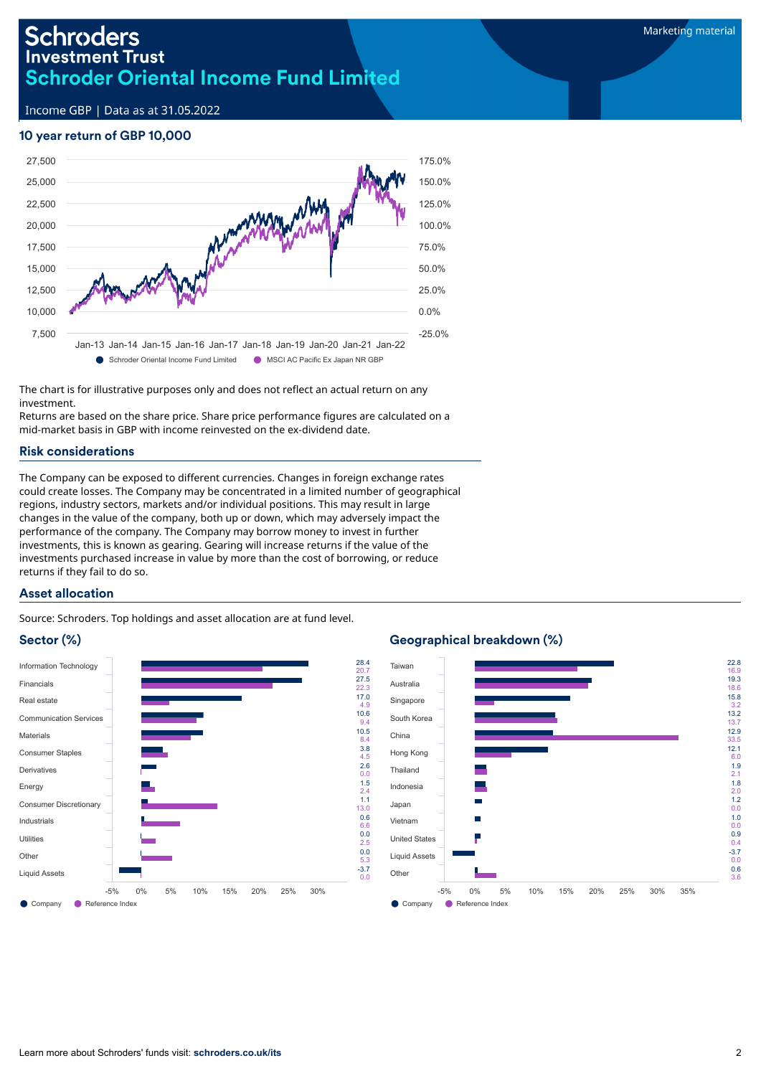Income GBP | Data as at 31.05.2022

## 10 year return of GBP 10,000



The chart is for illustrative purposes only and does not reflect an actual return on any investment.

Returns are based on the share price. Share price performance figures are calculated on a mid-market basis in GBP with income reinvested on the ex-dividend date.

## Risk considerations

The Company can be exposed to different currencies. Changes in foreign exchange rates could create losses. The Company may be concentrated in a limited number of geographical regions, industry sectors, markets and/or individual positions. This may result in large changes in the value of the company, both up or down, which may adversely impact the performance of the company. The Company may borrow money to invest in further investments, this is known as gearing. Gearing will increase returns if the value of the investments purchased increase in value by more than the cost of borrowing, or reduce returns if they fail to do so.

## Asset allocation

Source: Schroders. Top holdings and asset allocation are at fund level.

# Sector (%)



# Geographical breakdown (%)

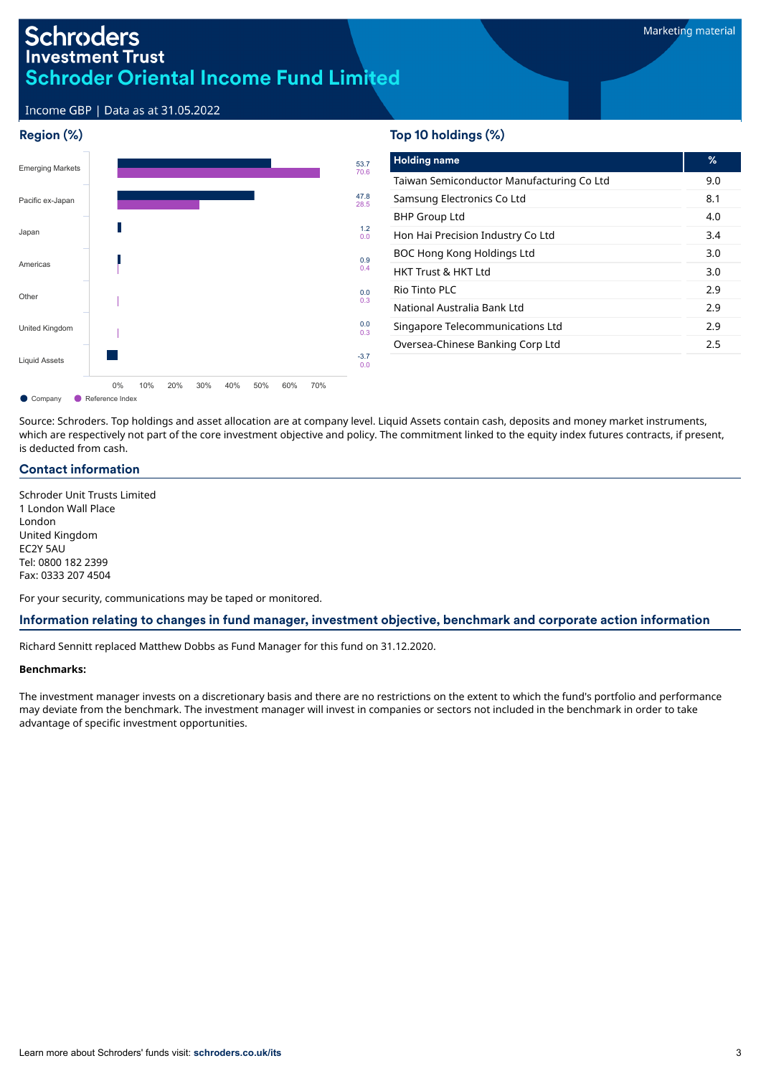Income GBP | Data as at 31.05.2022

## Region (%)



# Top 10 holdings (%)

| <b>Holding name</b>                       | ℅   |
|-------------------------------------------|-----|
| Taiwan Semiconductor Manufacturing Co Ltd | 9.0 |
| Samsung Electronics Co Ltd                | 8.1 |
| <b>BHP Group Ltd</b>                      | 4.0 |
| Hon Hai Precision Industry Co Ltd         | 3.4 |
| BOC Hong Kong Holdings Ltd                | 3.0 |
| <b>HKT Trust &amp; HKT Ltd</b>            | 3.0 |
| Rio Tinto PLC                             | 2.9 |
| National Australia Bank Ltd               | 2.9 |
| Singapore Telecommunications Ltd          | 2.9 |
| Oversea-Chinese Banking Corp Ltd          | 2.5 |
|                                           |     |

Source: Schroders. Top holdings and asset allocation are at company level. Liquid Assets contain cash, deposits and money market instruments, which are respectively not part of the core investment objective and policy. The commitment linked to the equity index futures contracts, if present, is deducted from cash.

## Contact information

Schroder Unit Trusts Limited 1 London Wall Place London United Kingdom EC2Y 5AU Tel: 0800 182 2399 Fax: 0333 207 4504

For your security, communications may be taped or monitored.

### Information relating to changes in fund manager, investment objective, benchmark and corporate action information

Richard Sennitt replaced Matthew Dobbs as Fund Manager for this fund on 31.12.2020.

#### **Benchmarks:**

The investment manager invests on a discretionary basis and there are no restrictions on the extent to which the fund's portfolio and performance may deviate from the benchmark. The investment manager will invest in companies or sectors not included in the benchmark in order to take advantage of specific investment opportunities.